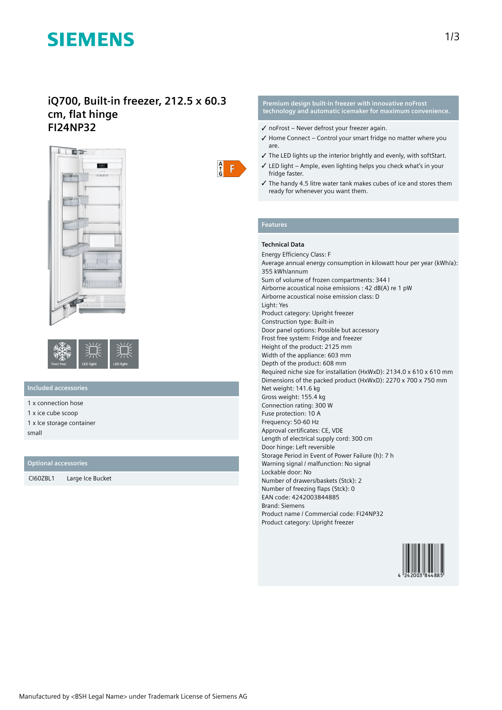# **SIEMENS**

# **iQ700, Built-in freezer, 212.5 x 60.3 cm, flat hinge FI24NP32**





# **Included accessories**

1 x connection hose

1 x ice cube scoop

1 x Ice storage container small

## **Optional accessories**

CI60ZBL1 Large Ice Bucket



### **Premium design built-in freezer with innovative noFrost technology and automatic icemaker for maximum convenience.**

- $\checkmark$  no Frost Never defrost your freezer again.
- ✓ Home Connect Control your smart fridge no matter where you are.
- ✓ The LED lights up the interior brightly and evenly, with softStart.
- $\checkmark$  LED light Ample, even lighting helps you check what's in your fridge faster.
- ✓ The handy 4.5 litre water tank makes cubes of ice and stores them ready for whenever you want them.

## **Features**

# **Technical Data**

Energy Efficiency Class: F Average annual energy consumption in kilowatt hour per year (kWh/a): 355 kWh/annum Sum of volume of frozen compartments: 344 l Airborne acoustical noise emissions : 42 dB(A) re 1 pW Airborne acoustical noise emission class: D Light: Yes Product category: Upright freezer Construction type: Built-in Door panel options: Possible but accessory Frost free system: Fridge and freezer Height of the product: 2125 mm Width of the appliance: 603 mm Depth of the product: 608 mm Required niche size for installation (HxWxD): 2134.0 x 610 x 610 mm Dimensions of the packed product (HxWxD): 2270 x 700 x 750 mm Net weight: 141.6 kg Gross weight: 155.4 kg Connection rating: 300 W Fuse protection: 10 A Frequency: 50-60 Hz Approval certificates: CE, VDE Length of electrical supply cord: 300 cm Door hinge: Left reversible Storage Period in Event of Power Failure (h): 7 h Warning signal / malfunction: No signal Lockable door: No Number of drawers/baskets (Stck): 2 Number of freezing flaps (Stck): 0 EAN code: 4242003844885 Brand: Siemens Product name / Commercial code: FI24NP32 Product category: Upright freezer

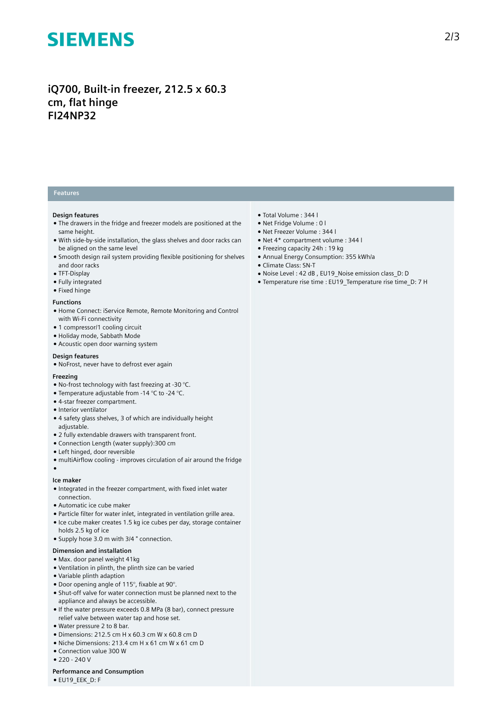# **SIEMENS**

# **iQ700, Built-in freezer, 212.5 x 60.3 cm, flat hinge FI24NP32**

# **Features**

### **Design features**

- The drawers in the fridge and freezer models are positioned at the same height.
- With side-by-side installation, the glass shelves and door racks can be aligned on the same level
- Smooth design rail system providing flexible positioning for shelves and door racks
- TFT-Display
- Fully integrated
- Fixed hinge

#### **Functions**

- Home Connect: iService Remote, Remote Monitoring and Control with Wi-Fi connectivity
- 1 compressor/1 cooling circuit
- Holiday mode, Sabbath Mode
- Acoustic open door warning system

## **Design features**

● NoFrost, never have to defrost ever again

#### **Freezing**

- $\bullet$  No-frost technology with fast freezing at -30 °C.
- Temperature adjustable from -14 °C to -24 °C.
- 4-star freezer compartment.
- Interior ventilator
- 4 safety glass shelves, 3 of which are individually height adjustable.
- 2 fully extendable drawers with transparent front.
- Connection Length (water supply):300 cm
- Left hinged, door reversible
- multiAirflow cooling improves circulation of air around the fridge

# ●

- **Ice maker** ● Integrated in the freezer compartment, with fixed inlet water
- connection. ● Automatic ice cube maker
- Particle filter for water inlet, integrated in ventilation grille area.
- Ice cube maker creates 1.5 kg ice cubes per day, storage container holds 2.5 kg of ice
- Supply hose 3.0 m with 3/4 " connection.

#### **Dimension and installation**

- Max. door panel weight 41kg
- Ventilation in plinth, the plinth size can be varied
- Variable plinth adaption
- Door opening angle of 115°, fixable at 90°.
- Shut-off valve for water connection must be planned next to the appliance and always be accessible.
- If the water pressure exceeds 0.8 MPa (8 bar), connect pressure relief valve between water tap and hose set.
- Water pressure 2 to 8 bar.
- Dimensions: 212.5 cm H x 60.3 cm W x 60.8 cm D
- Niche Dimensions: 213.4 cm H x 61 cm W x 61 cm D
- Connection value 300 W
- 220 240 V
- **Performance and Consumption**
- EU19\_EEK\_D: F
- Total Volume : 344 l
- Net Fridge Volume : 0 l
- Net Freezer Volume : 344 l
- Net 4\* compartment volume : 344 l
- Freezing capacity 24h : 19 kg
- Annual Energy Consumption: 355 kWh/a
- Climate Class: SN-T
- Noise Level : 42 dB , EU19\_Noise emission class\_D: D
- Temperature rise time : EU19\_Temperature rise time\_D: 7 H